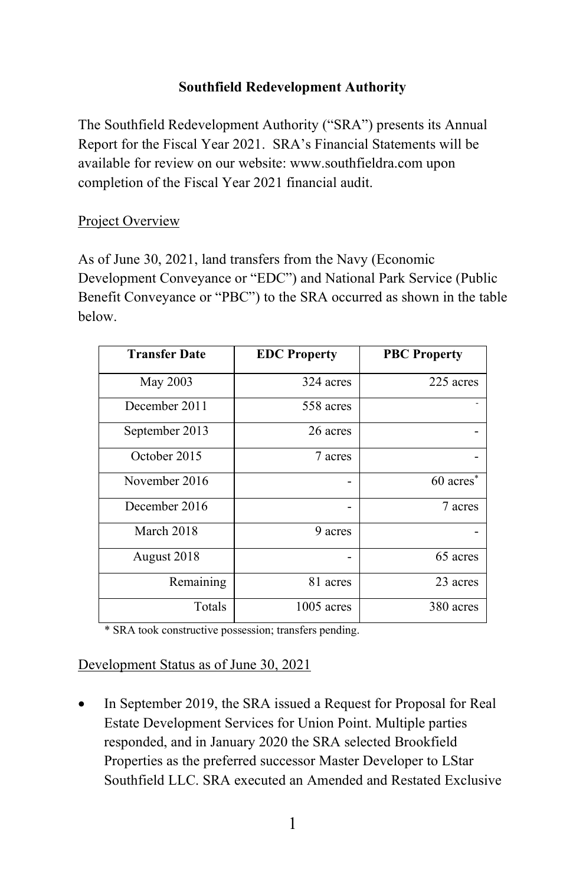# **Southfield Redevelopment Authority**

The Southfield Redevelopment Authority ("SRA") presents its Annual Report for the Fiscal Year 2021. SRA's Financial Statements will be available for review on our website: [www.southfieldra.com](http://www.southfieldra.com/) upon completion of the Fiscal Year 2021 financial audit.

### Project Overview

As of June 30, 2021, land transfers from the Navy (Economic Development Conveyance or "EDC") and National Park Service (Public Benefit Conveyance or "PBC") to the SRA occurred as shown in the table below.

| <b>Transfer Date</b> | <b>EDC Property</b> | <b>PBC Property</b>   |
|----------------------|---------------------|-----------------------|
| May 2003             | 324 acres           | 225 acres             |
| December 2011        | 558 acres           |                       |
| September 2013       | 26 acres            |                       |
| October 2015         | 7 acres             |                       |
| November 2016        | -                   | 60 acres <sup>*</sup> |
| December 2016        |                     | 7 acres               |
| March 2018           | 9 acres             |                       |
| August 2018          |                     | 65 acres              |
| Remaining            | 81 acres            | 23 acres              |
| Totals               | $1005$ acres        | 380 acres             |

\* SRA took constructive possession; transfers pending.

Development Status as of June 30, 2021

In September 2019, the SRA issued a Request for Proposal for Real Estate Development Services for Union Point. Multiple parties responded, and in January 2020 the SRA selected Brookfield Properties as the preferred successor Master Developer to LStar Southfield LLC. SRA executed an Amended and Restated Exclusive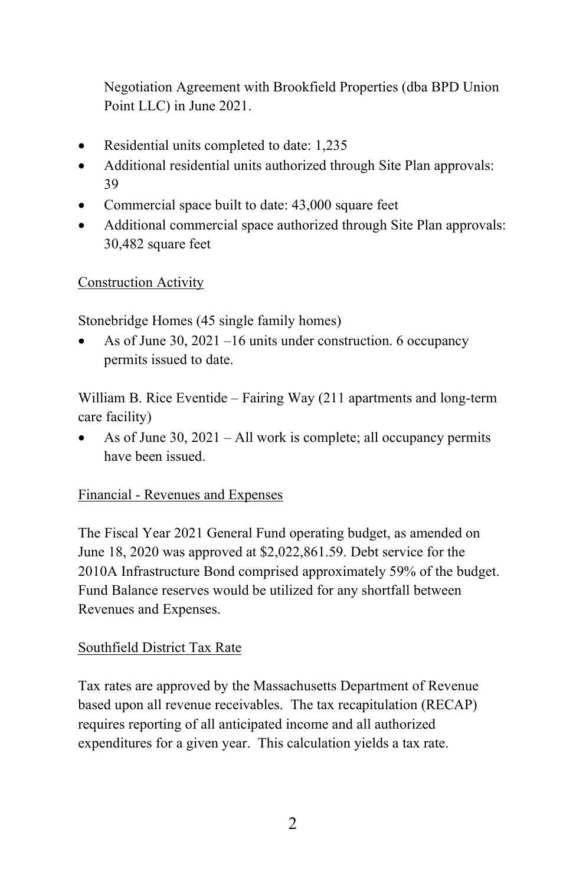Negotiation Agreement with Brookfield Properties (dba BPD Union Point LLC) in June 2021.

- Residential units completed to date: 1,235
- Additional residential units authorized through Site Plan approvals: 39
- Commercial space built to date: 43,000 square feet
- Additional commercial space authorized through Site Plan approvals: 30,482 square feet

Construction Activity

Stonebridge Homes (45 single family homes)

• As of June 30, 2021 –16 units under construction. 6 occupancy permits issued to date.

William B. Rice Eventide – Fairing Way (211 apartments and long-term care facility)

• As of June 30, 2021 – All work is complete; all occupancy permits have been issued.

# Financial - Revenues and Expenses

The Fiscal Year 2021 General Fund operating budget, as amended on June 18, 2020 was approved at \$2,022,861.59. Debt service for the 2010A Infrastructure Bond comprised approximately 59% of the budget. Fund Balance reserves would be utilized for any shortfall between Revenues and Expenses.

#### Southfield District Tax Rate

Tax rates are approved by the Massachusetts Department of Revenue based upon all revenue receivables. The tax recapitulation (RECAP) requires reporting of all anticipated income and all authorized expenditures for a given year. This calculation yields a tax rate.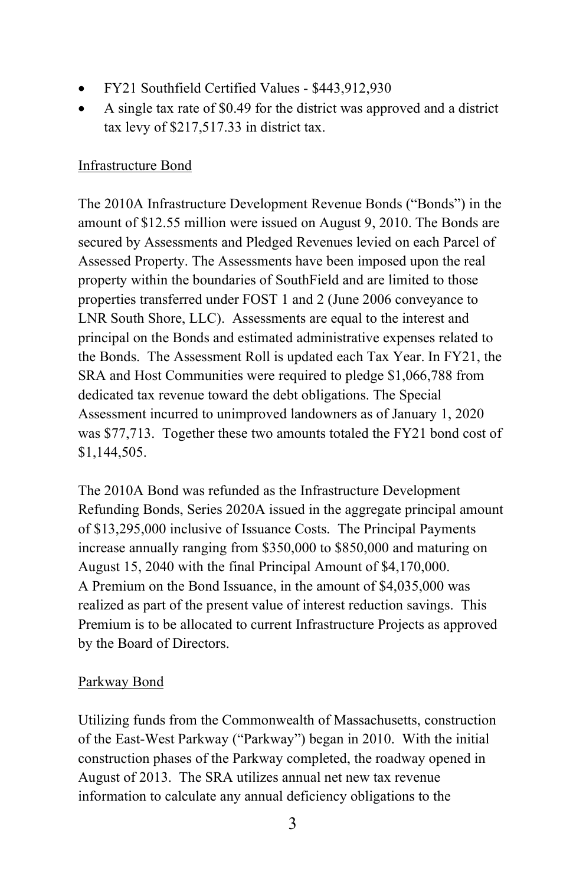- FY21 Southfield Certified Values \$443,912,930
- A single tax rate of \$0.49 for the district was approved and a district tax levy of \$217,517.33 in district tax.

### Infrastructure Bond

The 2010A Infrastructure Development Revenue Bonds ("Bonds") in the amount of \$12.55 million were issued on August 9, 2010. The Bonds are secured by Assessments and Pledged Revenues levied on each Parcel of Assessed Property. The Assessments have been imposed upon the real property within the boundaries of SouthField and are limited to those properties transferred under FOST 1 and 2 (June 2006 conveyance to LNR South Shore, LLC). Assessments are equal to the interest and principal on the Bonds and estimated administrative expenses related to the Bonds. The Assessment Roll is updated each Tax Year. In FY21, the SRA and Host Communities were required to pledge \$1,066,788 from dedicated tax revenue toward the debt obligations. The Special Assessment incurred to unimproved landowners as of January 1, 2020 was \$77,713. Together these two amounts totaled the FY21 bond cost of \$1,144,505.

The 2010A Bond was refunded as the Infrastructure Development Refunding Bonds, Series 2020A issued in the aggregate principal amount of \$13,295,000 inclusive of Issuance Costs. The Principal Payments increase annually ranging from \$350,000 to \$850,000 and maturing on August 15, 2040 with the final Principal Amount of \$4,170,000. A Premium on the Bond Issuance, in the amount of \$4,035,000 was realized as part of the present value of interest reduction savings. This Premium is to be allocated to current Infrastructure Projects as approved by the Board of Directors.

#### Parkway Bond

Utilizing funds from the Commonwealth of Massachusetts, construction of the East-West Parkway ("Parkway") began in 2010. With the initial construction phases of the Parkway completed, the roadway opened in August of 2013. The SRA utilizes annual net new tax revenue information to calculate any annual deficiency obligations to the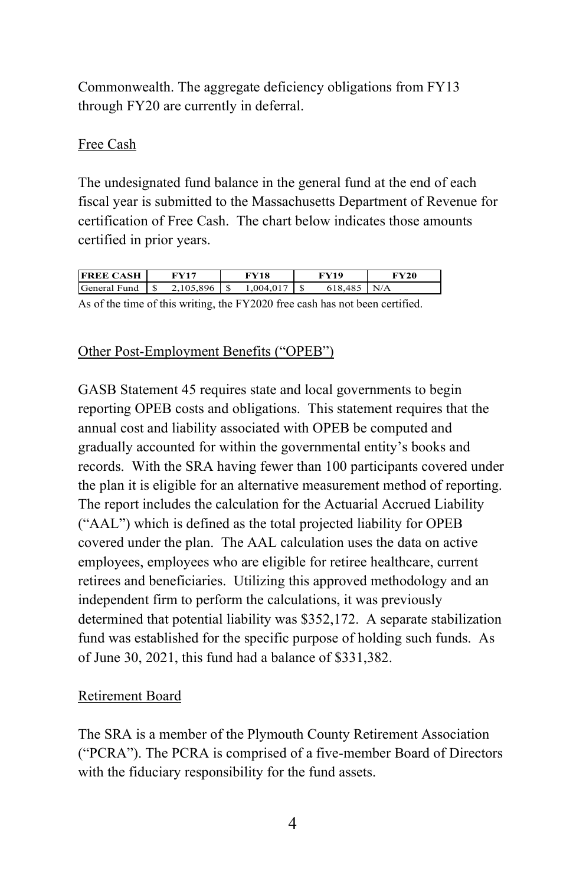Commonwealth. The aggregate deficiency obligations from FY13 through FY20 are currently in deferral.

## Free Cash

The undesignated fund balance in the general fund at the end of each fiscal year is submitted to the Massachusetts Department of Revenue for certification of Free Cash. The chart below indicates those amounts certified in prior years.

| <b>FREE CASH</b> |   | FV17      | FV18      | FV19 | FY20 |
|------------------|---|-----------|-----------|------|------|
| General Fund     | C | 2.105.896 | 1,004,017 |      | N/A  |
|                  |   |           |           |      |      |

As of the time of this writing, the FY2020 free cash has not been certified.

### Other Post-Employment Benefits ("OPEB")

GASB Statement 45 requires state and local governments to begin reporting OPEB costs and obligations. This statement requires that the annual cost and liability associated with OPEB be computed and gradually accounted for within the governmental entity's books and records. With the SRA having fewer than 100 participants covered under the plan it is eligible for an alternative measurement method of reporting. The report includes the calculation for the Actuarial Accrued Liability ("AAL") which is defined as the total projected liability for OPEB covered under the plan. The AAL calculation uses the data on active employees, employees who are eligible for retiree healthcare, current retirees and beneficiaries. Utilizing this approved methodology and an independent firm to perform the calculations, it was previously determined that potential liability was \$352,172. A separate stabilization fund was established for the specific purpose of holding such funds. As of June 30, 2021, this fund had a balance of \$331,382.

# Retirement Board

The SRA is a member of the Plymouth County Retirement Association ("PCRA"). The PCRA is comprised of a five-member Board of Directors with the fiduciary responsibility for the fund assets.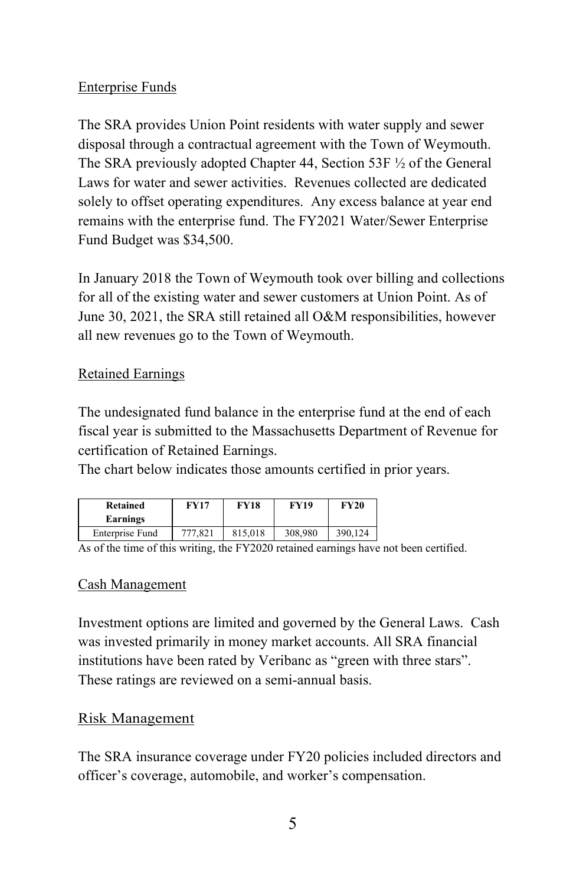### Enterprise Funds

The SRA provides Union Point residents with water supply and sewer disposal through a contractual agreement with the Town of Weymouth. The SRA previously adopted Chapter 44, Section 53F ½ of the General Laws for water and sewer activities. Revenues collected are dedicated solely to offset operating expenditures. Any excess balance at year end remains with the enterprise fund. The FY2021 Water/Sewer Enterprise Fund Budget was \$34,500.

In January 2018 the Town of Weymouth took over billing and collections for all of the existing water and sewer customers at Union Point. As of June 30, 2021, the SRA still retained all O&M responsibilities, however all new revenues go to the Town of Weymouth.

### Retained Earnings

The undesignated fund balance in the enterprise fund at the end of each fiscal year is submitted to the Massachusetts Department of Revenue for certification of Retained Earnings.

The chart below indicates those amounts certified in prior years.

| Retained<br>Earnings | <b>FY17</b> | <b>FY18</b> | <b>FY19</b> | <b>FY20</b> |
|----------------------|-------------|-------------|-------------|-------------|
| Enterprise Fund      | 777.821     | 815.018     | 308,980     | 390,124     |

As of the time of this writing, the FY2020 retained earnings have not been certified.

#### Cash Management

Investment options are limited and governed by the General Laws. Cash was invested primarily in money market accounts. All SRA financial institutions have been rated by Veribanc as "green with three stars". These ratings are reviewed on a semi-annual basis.

# Risk Management

The SRA insurance coverage under FY20 policies included directors and officer's coverage, automobile, and worker's compensation.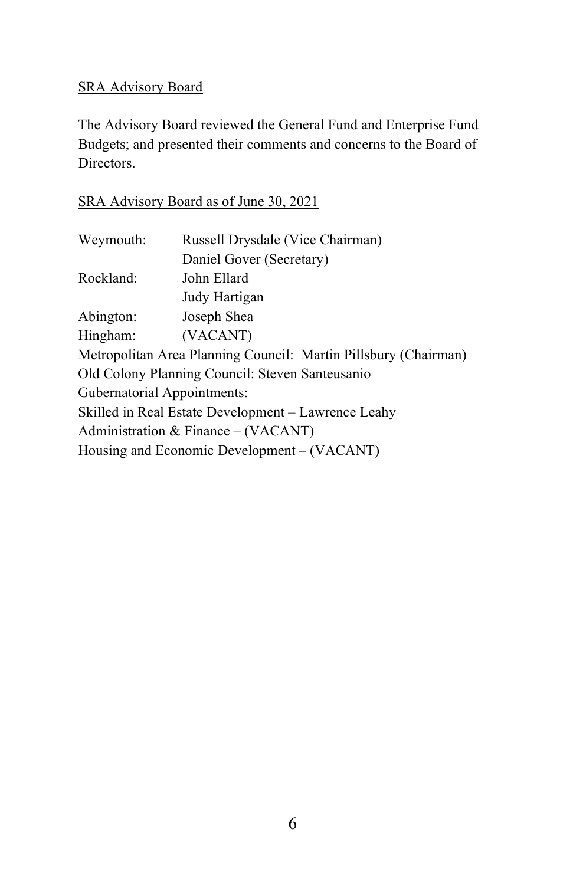# SRA Advisory Board

The Advisory Board reviewed the General Fund and Enterprise Fund Budgets; and presented their comments and concerns to the Board of Directors.

# SRA Advisory Board as of June 30, 2021

| Weymouth:                                                       | Russell Drysdale (Vice Chairman)     |  |  |
|-----------------------------------------------------------------|--------------------------------------|--|--|
|                                                                 | Daniel Gover (Secretary)             |  |  |
| Rockland:                                                       | John Ellard                          |  |  |
|                                                                 | Judy Hartigan                        |  |  |
| Abington:                                                       | Joseph Shea                          |  |  |
| Hingham:                                                        | (VACANT)                             |  |  |
| Metropolitan Area Planning Council: Martin Pillsbury (Chairman) |                                      |  |  |
| Old Colony Planning Council: Steven Santeusanio                 |                                      |  |  |
| Gubernatorial Appointments:                                     |                                      |  |  |
| Skilled in Real Estate Development - Lawrence Leahy             |                                      |  |  |
|                                                                 | Administration & Finance $-(VACANT)$ |  |  |
| Housing and Economic Development – (VACANT)                     |                                      |  |  |